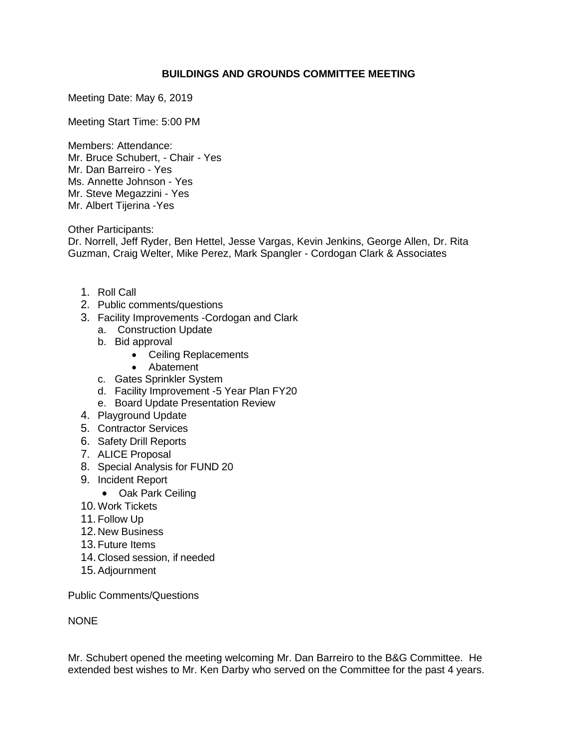#### **BUILDINGS AND GROUNDS COMMITTEE MEETING**

Meeting Date: May 6, 2019

Meeting Start Time: 5:00 PM

Members: Attendance: Mr. Bruce Schubert, - Chair - Yes Mr. Dan Barreiro - Yes Ms. Annette Johnson - Yes Mr. Steve Megazzini - Yes Mr. Albert Tijerina -Yes

Other Participants:

Dr. Norrell, Jeff Ryder, Ben Hettel, Jesse Vargas, Kevin Jenkins, George Allen, Dr. Rita Guzman, Craig Welter, Mike Perez, Mark Spangler - Cordogan Clark & Associates

- 1. Roll Call
- 2. Public comments/questions
- 3. Facility Improvements -Cordogan and Clark
	- a. Construction Update
	- b. Bid approval
		- Ceiling Replacements
		- Abatement
	- c. Gates Sprinkler System
	- d. Facility Improvement -5 Year Plan FY20
	- e. Board Update Presentation Review
- 4. Playground Update
- 5. Contractor Services
- 6. Safety Drill Reports
- 7. ALICE Proposal
- 8. Special Analysis for FUND 20
- 9. Incident Report
	- Oak Park Ceiling
- 10. Work Tickets
- 11. Follow Up
- 12. New Business
- 13.Future Items
- 14. Closed session, if needed
- 15.Adjournment

Public Comments/Questions

NONE

Mr. Schubert opened the meeting welcoming Mr. Dan Barreiro to the B&G Committee. He extended best wishes to Mr. Ken Darby who served on the Committee for the past 4 years.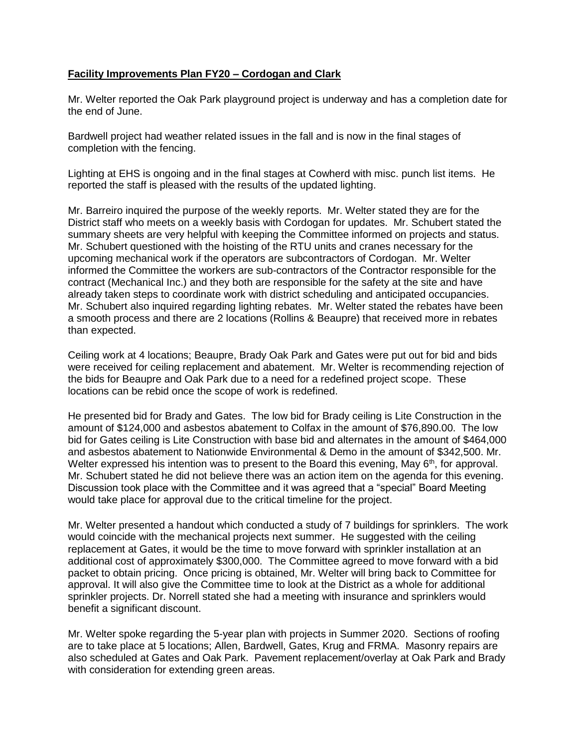# **Facility Improvements Plan FY20 – Cordogan and Clark**

Mr. Welter reported the Oak Park playground project is underway and has a completion date for the end of June.

Bardwell project had weather related issues in the fall and is now in the final stages of completion with the fencing.

Lighting at EHS is ongoing and in the final stages at Cowherd with misc. punch list items. He reported the staff is pleased with the results of the updated lighting.

Mr. Barreiro inquired the purpose of the weekly reports. Mr. Welter stated they are for the District staff who meets on a weekly basis with Cordogan for updates. Mr. Schubert stated the summary sheets are very helpful with keeping the Committee informed on projects and status. Mr. Schubert questioned with the hoisting of the RTU units and cranes necessary for the upcoming mechanical work if the operators are subcontractors of Cordogan. Mr. Welter informed the Committee the workers are sub-contractors of the Contractor responsible for the contract (Mechanical Inc.) and they both are responsible for the safety at the site and have already taken steps to coordinate work with district scheduling and anticipated occupancies. Mr. Schubert also inquired regarding lighting rebates. Mr. Welter stated the rebates have been a smooth process and there are 2 locations (Rollins & Beaupre) that received more in rebates than expected.

Ceiling work at 4 locations; Beaupre, Brady Oak Park and Gates were put out for bid and bids were received for ceiling replacement and abatement. Mr. Welter is recommending rejection of the bids for Beaupre and Oak Park due to a need for a redefined project scope. These locations can be rebid once the scope of work is redefined.

He presented bid for Brady and Gates. The low bid for Brady ceiling is Lite Construction in the amount of \$124,000 and asbestos abatement to Colfax in the amount of \$76,890.00. The low bid for Gates ceiling is Lite Construction with base bid and alternates in the amount of \$464,000 and asbestos abatement to Nationwide Environmental & Demo in the amount of \$342,500. Mr. Welter expressed his intention was to present to the Board this evening, May  $6<sup>th</sup>$ , for approval. Mr. Schubert stated he did not believe there was an action item on the agenda for this evening. Discussion took place with the Committee and it was agreed that a "special" Board Meeting would take place for approval due to the critical timeline for the project.

Mr. Welter presented a handout which conducted a study of 7 buildings for sprinklers. The work would coincide with the mechanical projects next summer. He suggested with the ceiling replacement at Gates, it would be the time to move forward with sprinkler installation at an additional cost of approximately \$300,000. The Committee agreed to move forward with a bid packet to obtain pricing. Once pricing is obtained, Mr. Welter will bring back to Committee for approval. It will also give the Committee time to look at the District as a whole for additional sprinkler projects. Dr. Norrell stated she had a meeting with insurance and sprinklers would benefit a significant discount.

Mr. Welter spoke regarding the 5-year plan with projects in Summer 2020. Sections of roofing are to take place at 5 locations; Allen, Bardwell, Gates, Krug and FRMA. Masonry repairs are also scheduled at Gates and Oak Park. Pavement replacement/overlay at Oak Park and Brady with consideration for extending green areas.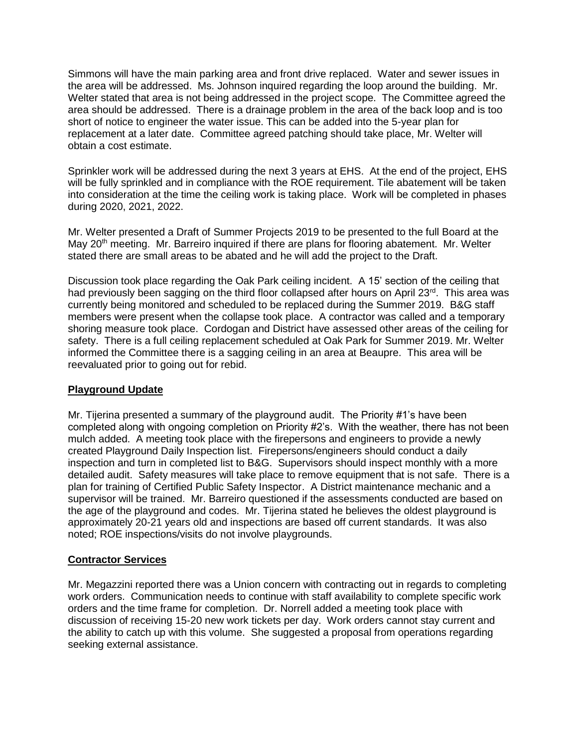Simmons will have the main parking area and front drive replaced. Water and sewer issues in the area will be addressed. Ms. Johnson inquired regarding the loop around the building. Mr. Welter stated that area is not being addressed in the project scope. The Committee agreed the area should be addressed. There is a drainage problem in the area of the back loop and is too short of notice to engineer the water issue. This can be added into the 5-year plan for replacement at a later date. Committee agreed patching should take place, Mr. Welter will obtain a cost estimate.

Sprinkler work will be addressed during the next 3 years at EHS. At the end of the project, EHS will be fully sprinkled and in compliance with the ROE requirement. Tile abatement will be taken into consideration at the time the ceiling work is taking place. Work will be completed in phases during 2020, 2021, 2022.

Mr. Welter presented a Draft of Summer Projects 2019 to be presented to the full Board at the May  $20<sup>th</sup>$  meeting. Mr. Barreiro inquired if there are plans for flooring abatement. Mr. Welter stated there are small areas to be abated and he will add the project to the Draft.

Discussion took place regarding the Oak Park ceiling incident. A 15' section of the ceiling that had previously been sagging on the third floor collapsed after hours on April 23<sup>rd</sup>. This area was currently being monitored and scheduled to be replaced during the Summer 2019. B&G staff members were present when the collapse took place. A contractor was called and a temporary shoring measure took place. Cordogan and District have assessed other areas of the ceiling for safety. There is a full ceiling replacement scheduled at Oak Park for Summer 2019. Mr. Welter informed the Committee there is a sagging ceiling in an area at Beaupre. This area will be reevaluated prior to going out for rebid.

## **Playground Update**

Mr. Tijerina presented a summary of the playground audit. The Priority #1's have been completed along with ongoing completion on Priority #2's. With the weather, there has not been mulch added. A meeting took place with the firepersons and engineers to provide a newly created Playground Daily Inspection list. Firepersons/engineers should conduct a daily inspection and turn in completed list to B&G. Supervisors should inspect monthly with a more detailed audit. Safety measures will take place to remove equipment that is not safe. There is a plan for training of Certified Public Safety Inspector. A District maintenance mechanic and a supervisor will be trained. Mr. Barreiro questioned if the assessments conducted are based on the age of the playground and codes. Mr. Tijerina stated he believes the oldest playground is approximately 20-21 years old and inspections are based off current standards. It was also noted; ROE inspections/visits do not involve playgrounds.

## **Contractor Services**

Mr. Megazzini reported there was a Union concern with contracting out in regards to completing work orders. Communication needs to continue with staff availability to complete specific work orders and the time frame for completion. Dr. Norrell added a meeting took place with discussion of receiving 15-20 new work tickets per day. Work orders cannot stay current and the ability to catch up with this volume. She suggested a proposal from operations regarding seeking external assistance.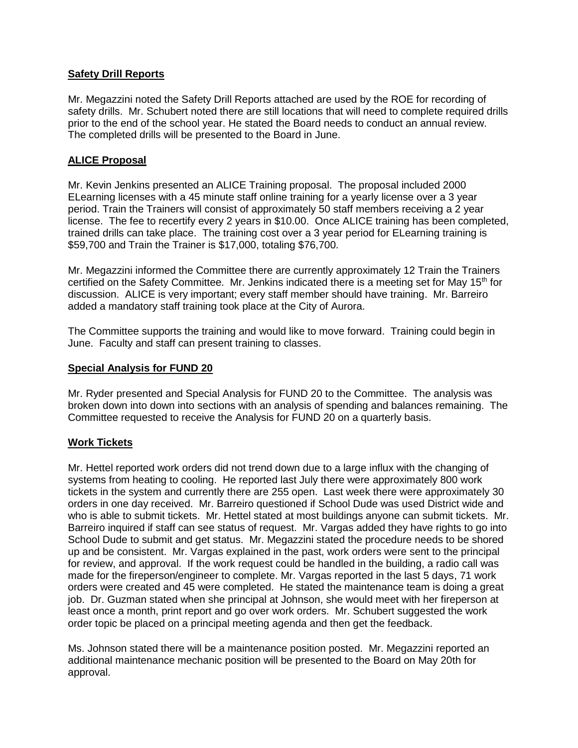# **Safety Drill Reports**

Mr. Megazzini noted the Safety Drill Reports attached are used by the ROE for recording of safety drills. Mr. Schubert noted there are still locations that will need to complete required drills prior to the end of the school year. He stated the Board needs to conduct an annual review. The completed drills will be presented to the Board in June.

# **ALICE Proposal**

Mr. Kevin Jenkins presented an ALICE Training proposal. The proposal included 2000 ELearning licenses with a 45 minute staff online training for a yearly license over a 3 year period. Train the Trainers will consist of approximately 50 staff members receiving a 2 year license. The fee to recertify every 2 years in \$10.00. Once ALICE training has been completed, trained drills can take place. The training cost over a 3 year period for ELearning training is \$59,700 and Train the Trainer is \$17,000, totaling \$76,700.

Mr. Megazzini informed the Committee there are currently approximately 12 Train the Trainers certified on the Safety Committee. Mr. Jenkins indicated there is a meeting set for May  $15<sup>th</sup>$  for discussion. ALICE is very important; every staff member should have training. Mr. Barreiro added a mandatory staff training took place at the City of Aurora.

The Committee supports the training and would like to move forward. Training could begin in June. Faculty and staff can present training to classes.

#### **Special Analysis for FUND 20**

Mr. Ryder presented and Special Analysis for FUND 20 to the Committee. The analysis was broken down into down into sections with an analysis of spending and balances remaining. The Committee requested to receive the Analysis for FUND 20 on a quarterly basis.

## **Work Tickets**

Mr. Hettel reported work orders did not trend down due to a large influx with the changing of systems from heating to cooling. He reported last July there were approximately 800 work tickets in the system and currently there are 255 open. Last week there were approximately 30 orders in one day received. Mr. Barreiro questioned if School Dude was used District wide and who is able to submit tickets. Mr. Hettel stated at most buildings anyone can submit tickets. Mr. Barreiro inquired if staff can see status of request. Mr. Vargas added they have rights to go into School Dude to submit and get status. Mr. Megazzini stated the procedure needs to be shored up and be consistent. Mr. Vargas explained in the past, work orders were sent to the principal for review, and approval. If the work request could be handled in the building, a radio call was made for the fireperson/engineer to complete. Mr. Vargas reported in the last 5 days, 71 work orders were created and 45 were completed. He stated the maintenance team is doing a great job. Dr. Guzman stated when she principal at Johnson, she would meet with her fireperson at least once a month, print report and go over work orders. Mr. Schubert suggested the work order topic be placed on a principal meeting agenda and then get the feedback.

Ms. Johnson stated there will be a maintenance position posted. Mr. Megazzini reported an additional maintenance mechanic position will be presented to the Board on May 20th for approval.